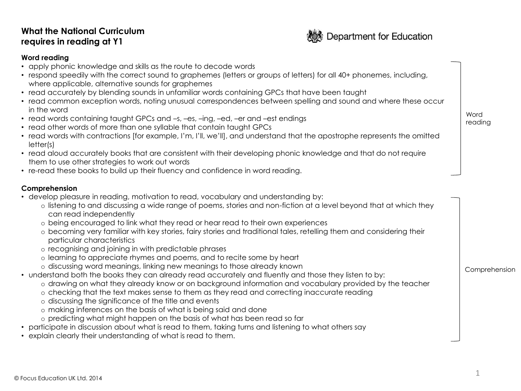# **What the National Curriculum requires in reading at Y1**



## **Word reading**

- apply phonic knowledge and skills as the route to decode words
- respond speedily with the correct sound to graphemes (letters or groups of letters) for all 40+ phonemes, including, where applicable, alternative sounds for graphemes
- read accurately by blending sounds in unfamiliar words containing GPCs that have been taught
- read common exception words, noting unusual correspondences between spelling and sound and where these occur in the word
- read words containing taught GPCs and –s, –es, –ing, –ed, –er and –est endings
- read other words of more than one syllable that contain taught GPCs
- read words with contractions [for example, I'm, I'll, we'll], and understand that the apostrophe represents the omitted letter(s)
- read aloud accurately books that are consistent with their developing phonic knowledge and that do not require them to use other strategies to work out words
- re-read these books to build up their fluency and confidence in word reading.

# **Comprehension**

- develop pleasure in reading, motivation to read, vocabulary and understanding by:
	- o listening to and discussing a wide range of poems, stories and non-fiction at a level beyond that at which they can read independently
	- o being encouraged to link what they read or hear read to their own experiences
	- o becoming very familiar with key stories, fairy stories and traditional tales, retelling them and considering their particular characteristics
	- o recognising and joining in with predictable phrases
	- o learning to appreciate rhymes and poems, and to recite some by heart
	- o discussing word meanings, linking new meanings to those already known
- understand both the books they can already read accurately and fluently and those they listen to by:
	- o drawing on what they already know or on background information and vocabulary provided by the teacher
	- o checking that the text makes sense to them as they read and correcting inaccurate reading
	- o discussing the significance of the title and events
	- o making inferences on the basis of what is being said and done
	- o predicting what might happen on the basis of what has been read so far
- participate in discussion about what is read to them, taking turns and listening to what others say
- explain clearly their understanding of what is read to them.

Word reading

Comprehension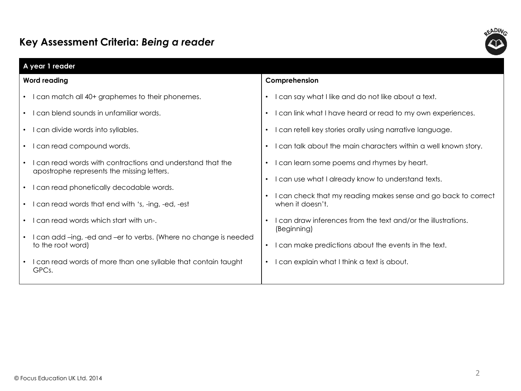# **Key Assessment Criteria:** *Being a reader*



| A year 1 reader     |                                                                                                          |                                                                                  |  |  |
|---------------------|----------------------------------------------------------------------------------------------------------|----------------------------------------------------------------------------------|--|--|
| <b>Word reading</b> |                                                                                                          | Comprehension                                                                    |  |  |
|                     | I can match all 40+ graphemes to their phonemes.                                                         | can say what I like and do not like about a text.<br>$\bullet$                   |  |  |
|                     | I can blend sounds in unfamiliar words.                                                                  | can link what I have heard or read to my own experiences.                        |  |  |
|                     | I can divide words into syllables.<br>$\bullet$                                                          | I can retell key stories orally using narrative language.<br>$\bullet$           |  |  |
|                     | I can read compound words.<br>$\bullet$                                                                  | I can talk about the main characters within a well known story.<br>$\bullet$     |  |  |
|                     | I can read words with contractions and understand that the<br>apostrophe represents the missing letters. | I can learn some poems and rhymes by heart.<br>$\bullet$                         |  |  |
|                     | I can read phonetically decodable words.<br>$\bullet$                                                    | I can use what I already know to understand texts.<br>$\bullet$                  |  |  |
|                     | I can read words that end with 's, -ing, -ed, -est<br>$\bullet$                                          | can check that my reading makes sense and go back to correct<br>when it doesn't. |  |  |
|                     | I can read words which start with un-.                                                                   | can draw inferences from the text and/or the illustrations.<br>(Beginning)       |  |  |
|                     | I can add -ing, -ed and -er to verbs. (Where no change is needed<br>to the root word)                    | I can make predictions about the events in the text.<br>$\bullet$                |  |  |
|                     | I can read words of more than one syllable that contain taught<br>GPCs.                                  | can explain what I think a text is about.<br>$\bullet$                           |  |  |
|                     |                                                                                                          |                                                                                  |  |  |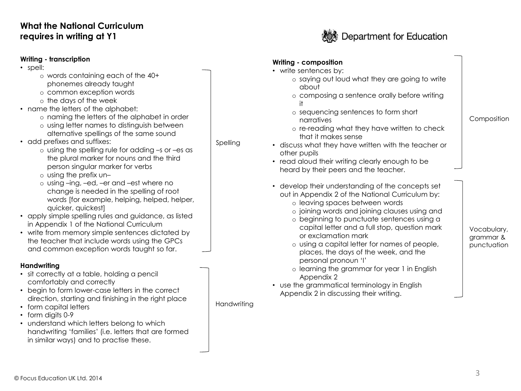# **What the National Curriculum requires in writing at Y1**

## **Writing - transcription**

- spell:
	- o words containing each of the 40+ phonemes already taught
	- o common exception words
	- o the days of the week
- name the letters of the alphabet:
	- o naming the letters of the alphabet in order
	- o using letter names to distinguish between alternative spellings of the same sound
- add prefixes and suffixes:
	- o using the spelling rule for adding *–*s or *–*es as the plural marker for nouns and the third person singular marker for verbs
	- o using the prefix un*–*
	- o using *–*ing, *–*ed, *–*er and *–*est where no change is needed in the spelling of root words [for example, helping, helped, helper, quicker, quickest]
- apply simple spelling rules and guidance, as listed in Appendix 1 of the National Curriculum
- write from memory simple sentences dictated by the teacher that include words using the GPCs and common exception words taught so far.

# **Handwriting**

- sit correctly at a table, holding a pencil comfortably and correctly
- begin to form lower-case letters in the correct direction, starting and finishing in the right place
- form capital letters
- form digits 0-9
- understand which letters belong to which handwriting 'families' (i.e. letters that are formed in similar ways) and to practise these.



| Writing - composition<br>• write sentences by:<br>o saying out loud what they are going to write<br>dhout<br>o composing a sentence orally before writing<br>it<br>o sequencing sentences to form short<br>narratives<br>o re-reading what they have written to check<br>that it makes sense<br>• discuss what they have written with the teacher or<br>other pupils<br>• read aloud their writing clearly enough to be<br>heard by their peers and the teacher.                                                                                                                          | Composition                             |
|-------------------------------------------------------------------------------------------------------------------------------------------------------------------------------------------------------------------------------------------------------------------------------------------------------------------------------------------------------------------------------------------------------------------------------------------------------------------------------------------------------------------------------------------------------------------------------------------|-----------------------------------------|
| • develop their understanding of the concepts set<br>out in Appendix 2 of the National Curriculum by:<br>o leaving spaces between words<br>o joining words and joining clauses using and<br>o beginning to punctuate sentences using a<br>capital letter and a full stop, question mark<br>or exclamation mark<br>o using a capital letter for names of people,<br>places, the days of the week, and the<br>personal pronoun 'l'<br>o learning the grammar for year 1 in English<br>Appendix 2<br>• use the grammatical terminology in English<br>Appendix 2 in discussing their writing. | Vocabulary,<br>grammar &<br>punctuation |

**Handwriting** 

Spelling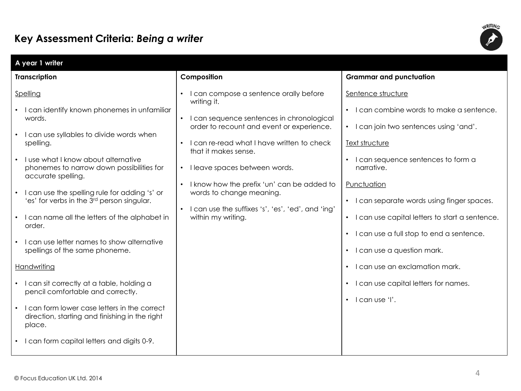# **Key Assessment Criteria:** *Being a writer*



| A year 1 writer                                                                                                                                                                                                                                                                                                                                                                                            |                                                                                                                                                                                                                                                                                                                                                                                                                                                      |                                                                                                                                                                                                                                                                                                                                                  |  |  |  |  |
|------------------------------------------------------------------------------------------------------------------------------------------------------------------------------------------------------------------------------------------------------------------------------------------------------------------------------------------------------------------------------------------------------------|------------------------------------------------------------------------------------------------------------------------------------------------------------------------------------------------------------------------------------------------------------------------------------------------------------------------------------------------------------------------------------------------------------------------------------------------------|--------------------------------------------------------------------------------------------------------------------------------------------------------------------------------------------------------------------------------------------------------------------------------------------------------------------------------------------------|--|--|--|--|
| <b>Transcription</b>                                                                                                                                                                                                                                                                                                                                                                                       | Composition                                                                                                                                                                                                                                                                                                                                                                                                                                          | <b>Grammar and punctuation</b>                                                                                                                                                                                                                                                                                                                   |  |  |  |  |
| Spelling<br>• I can identify known phonemes in unfamiliar<br>words.<br>• I can use syllables to divide words when<br>spelling.<br>• I use what I know about alternative<br>phonemes to narrow down possibilities for<br>accurate spelling.<br>• I can use the spelling rule for adding 's' or<br>'es' for verbs in the 3 <sup>rd</sup> person singular.<br>• I can name all the letters of the alphabet in | I can compose a sentence orally before<br>writing it.<br>I can sequence sentences in chronological<br>$\bullet$<br>order to recount and event or experience.<br>I can re-read what I have written to check<br>that it makes sense.<br>• I leave spaces between words.<br>I know how the prefix 'un' can be added to<br>$\bullet$<br>words to change meaning.<br>I can use the suffixes 's', 'es', 'ed', and 'ing'<br>$\bullet$<br>within my writing. | Sentence structure<br>I can combine words to make a sentence.<br>$\bullet$<br>• I can join two sentences using 'and'.<br>Text structure<br>I can sequence sentences to form a<br>$\bullet$<br>narrative.<br>Punctuation<br>I can separate words using finger spaces.<br>$\bullet$<br>I can use capital letters to start a sentence.<br>$\bullet$ |  |  |  |  |
| order.<br>I can use letter names to show alternative<br>spellings of the same phoneme.<br>Handwriting<br>· I can sit correctly at a table, holding a<br>pencil comfortable and correctly.<br>• I can form lower case letters in the correct<br>direction, starting and finishing in the right<br>place.<br>• I can form capital letters and digits 0-9.                                                    |                                                                                                                                                                                                                                                                                                                                                                                                                                                      | I can use a full stop to end a sentence.<br>$\bullet$<br>• I can use a question mark.<br>• I can use an exclamation mark.<br>• I can use capital letters for names.<br>$\cdot$ I can use 'I'.                                                                                                                                                    |  |  |  |  |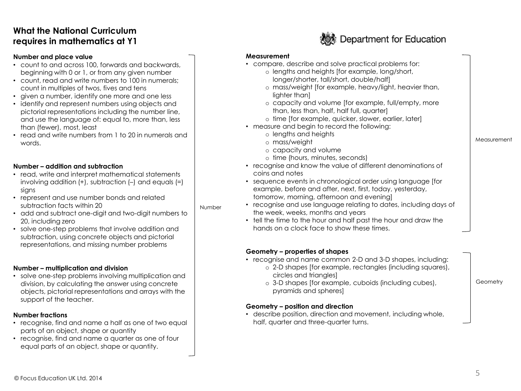# **What the National Curriculum requires in mathematics at Y1**

#### **Number and place value**

- count to and across 100, forwards and backwards, beginning with 0 or 1, or from any given number
- count, read and write numbers to 100 in numerals; count in multiples of twos, fives and tens
- given a number, identify one more and one less
- identify and represent numbers using objects and pictorial representations including the number line, and use the language of: equal to, more than, less than (fewer), most, least
- read and write numbers from 1 to 20 in numerals and words.

### **Number – addition and subtraction**

- read, write and interpret mathematical statements involving addition  $(+)$ , subtraction  $(-)$  and equals  $(=)$ sians
- represent and use number bonds and related subtraction facts within 20
- add and subtract one-digit and two-digit numbers to 20, including zero
- solve one-step problems that involve addition and subtraction, using concrete objects and pictorial representations, and missing number problems

### **Number – multiplication and division**

• solve one-step problems involving multiplication and division, by calculating the answer using concrete objects, pictorial representations and arrays with the support of the teacher.

# **Number fractions**

- recognise, find and name a half as one of two equal parts of an object, shape or quantity
- recognise, find and name a quarter as one of four equal parts of an object, shape or quantity.



#### **Measurement**

Number

- compare, describe and solve practical problems for:
	- o lengths and heights [for example, long/short, longer/shorter, tall/short, double/half]
	- o mass/weight [for example, heavy/light, heavier than, lighter than]
	- o capacity and volume [for example, full/empty, more than, less than, half, half full, quarter]
	- o time [for example, quicker, slower, earlier, later]
- measure and begin to record the following:
	- o lengths and heights
	- o mass/weight
	- o capacity and volume
	- o time (hours, minutes, seconds)
- recognise and know the value of different denominations of coins and notes
- sequence events in chronological order using language [for example, before and after, next, first, today, yesterday, tomorrow, morning, afternoon and evening]
- recognise and use language relating to dates, including days of the week, weeks, months and years
- tell the time to the hour and half past the hour and draw the hands on a clock face to show these times.

### **Geometry – properties of shapes**

- recognise and name common 2-D and 3-D shapes, including:
	- o 2-D shapes [for example, rectangles (including squares), circles and triangles]
	- o 3-D shapes [for example, cuboids (including cubes), pyramids and spheres]

## **Geometry – position and direction**

• describe position, direction and movement, including whole, half, quarter and three-quarter turns.

**Measurement** 

**Geometry**